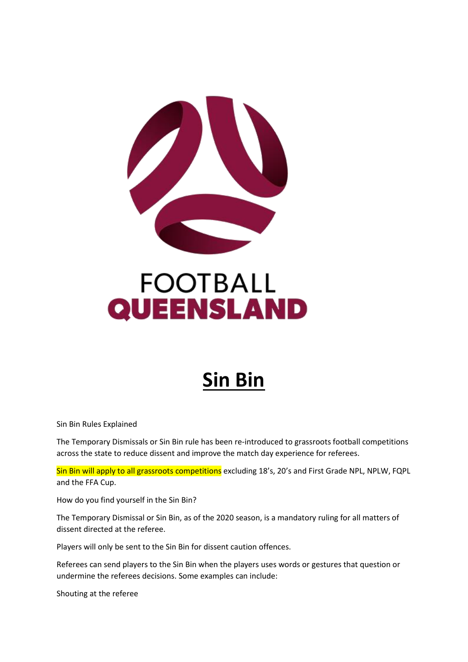

## **FOOTBALL QUEENSLAND**

## **Sin Bin**

Sin Bin Rules Explained

The Temporary Dismissals or Sin Bin rule has been re-introduced to grassroots football competitions across the state to reduce dissent and improve the match day experience for referees.

Sin Bin will apply to all grassroots competitions excluding 18's, 20's and First Grade NPL, NPLW, FQPL and the FFA Cup.

How do you find yourself in the Sin Bin?

The Temporary Dismissal or Sin Bin, as of the 2020 season, is a mandatory ruling for all matters of dissent directed at the referee.

Players will only be sent to the Sin Bin for dissent caution offences.

Referees can send players to the Sin Bin when the players uses words or gestures that question or undermine the referees decisions. Some examples can include:

Shouting at the referee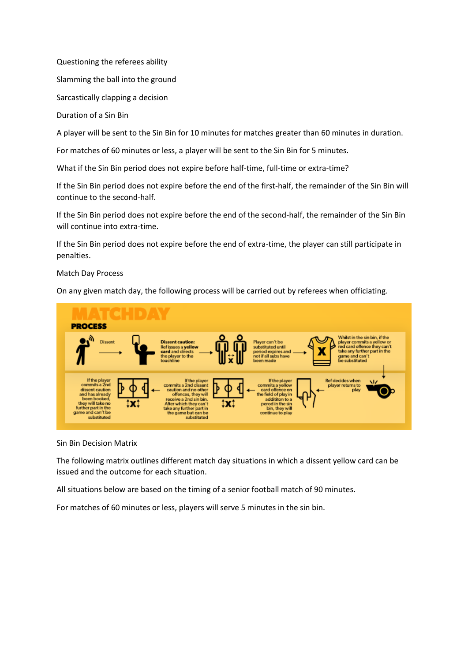Questioning the referees ability

Slamming the ball into the ground

Sarcastically clapping a decision

Duration of a Sin Bin

A player will be sent to the Sin Bin for 10 minutes for matches greater than 60 minutes in duration.

For matches of 60 minutes or less, a player will be sent to the Sin Bin for 5 minutes.

What if the Sin Bin period does not expire before half-time, full-time or extra-time?

If the Sin Bin period does not expire before the end of the first-half, the remainder of the Sin Bin will continue to the second-half.

If the Sin Bin period does not expire before the end of the second-half, the remainder of the Sin Bin will continue into extra-time.

If the Sin Bin period does not expire before the end of extra-time, the player can still participate in penalties.

Match Day Process

On any given match day, the following process will be carried out by referees when officiating.



Sin Bin Decision Matrix

The following matrix outlines different match day situations in which a dissent yellow card can be issued and the outcome for each situation.

All situations below are based on the timing of a senior football match of 90 minutes.

For matches of 60 minutes or less, players will serve 5 minutes in the sin bin.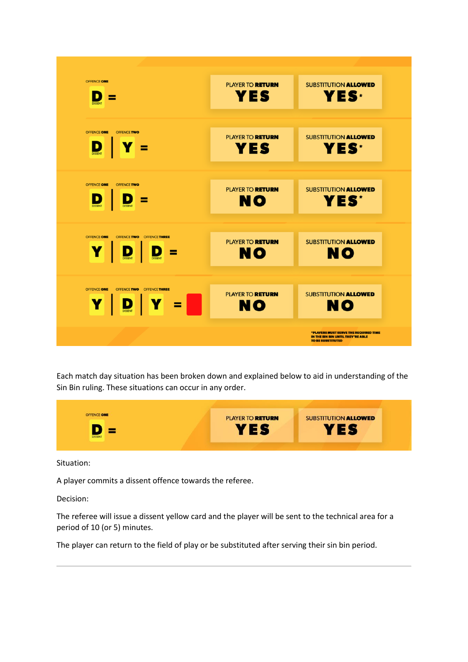

Each match day situation has been broken down and explained below to aid in understanding of the Sin Bin ruling. These situations can occur in any order.



Situation:

A player commits a dissent offence towards the referee.

Decision:

The referee will issue a dissent yellow card and the player will be sent to the technical area for a period of 10 (or 5) minutes.

The player can return to the field of play or be substituted after serving their sin bin period.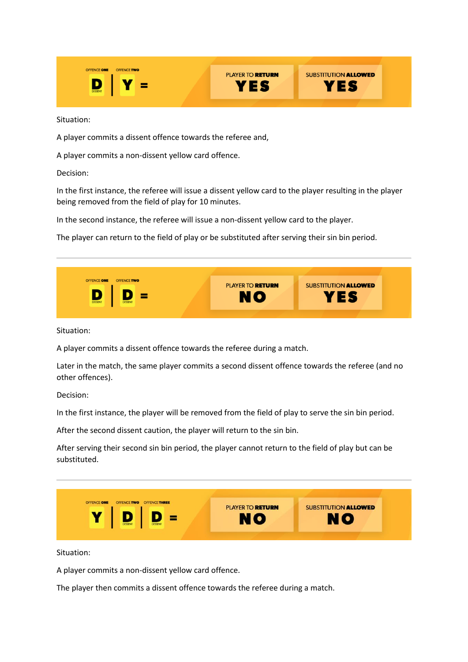OFFENCE ONE **PLAYER TO RETURN SUBSTITUTION ALLOWED** D YES YES

Situation:

A player commits a dissent offence towards the referee and,

A player commits a non-dissent yellow card offence.

Decision:

In the first instance, the referee will issue a dissent yellow card to the player resulting in the player being removed from the field of play for 10 minutes.

In the second instance, the referee will issue a non-dissent yellow card to the player.

The player can return to the field of play or be substituted after serving their sin bin period.



Situation:

A player commits a dissent offence towards the referee during a match.

Later in the match, the same player commits a second dissent offence towards the referee (and no other offences).

Decision:

In the first instance, the player will be removed from the field of play to serve the sin bin period.

After the second dissent caution, the player will return to the sin bin.

After serving their second sin bin period, the player cannot return to the field of play but can be substituted.



Situation:

A player commits a non-dissent yellow card offence.

The player then commits a dissent offence towards the referee during a match.